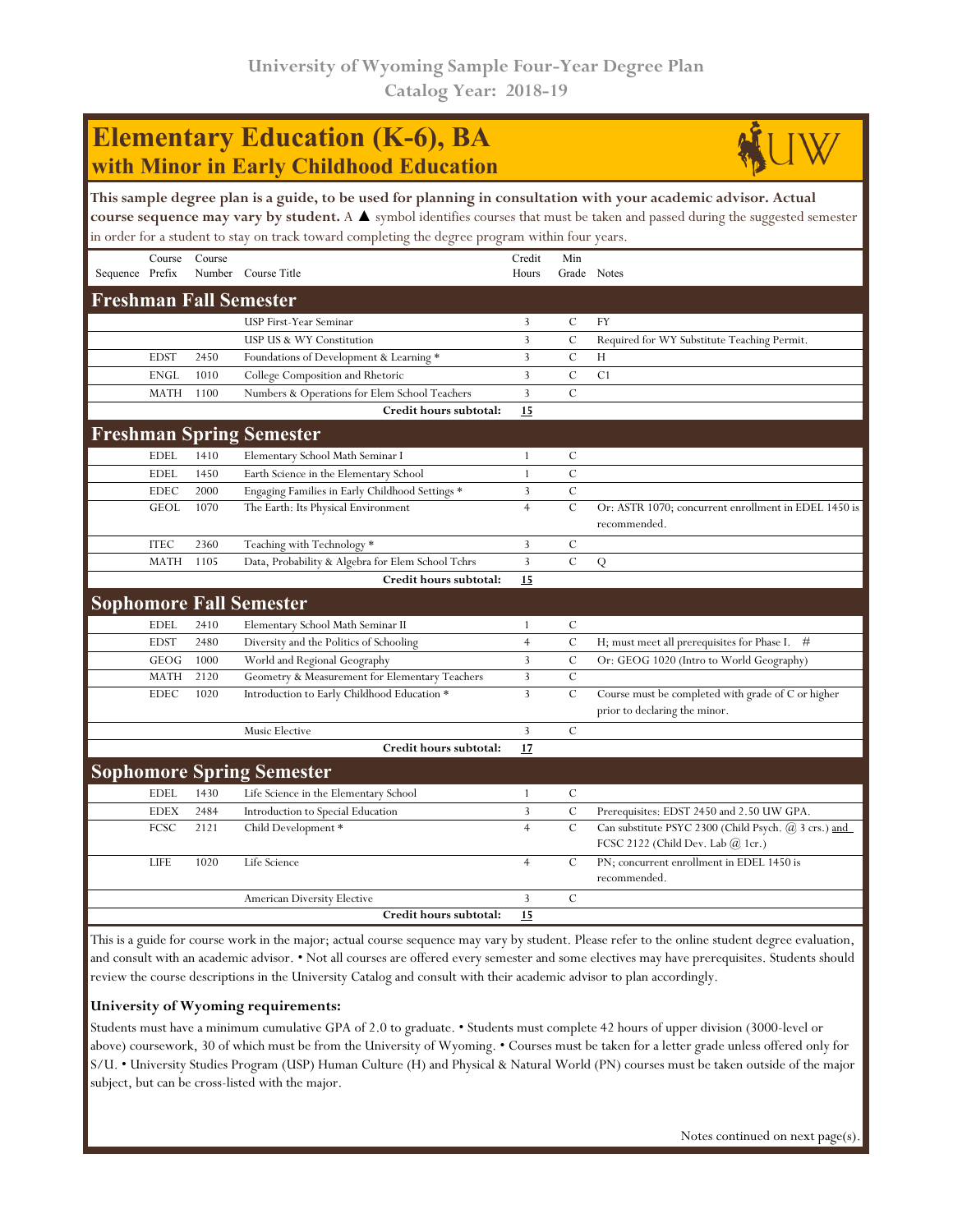## **Elementary Education (K-6), BA with Minor in Early Childhood Education**



|                               |             |        | This sample degree plan is a guide, to be used for planning in consultation with your academic advisor. Actual<br>course sequence may vary by student. A ▲ symbol identifies courses that must be taken and passed during the suggested semester |                 |               |                                                                                               |
|-------------------------------|-------------|--------|--------------------------------------------------------------------------------------------------------------------------------------------------------------------------------------------------------------------------------------------------|-----------------|---------------|-----------------------------------------------------------------------------------------------|
|                               |             |        | in order for a student to stay on track toward completing the degree program within four years.                                                                                                                                                  |                 |               |                                                                                               |
| Sequence Prefix               | Course      | Course | Number Course Title                                                                                                                                                                                                                              | Credit<br>Hours | Min           | Grade Notes                                                                                   |
| <b>Freshman Fall Semester</b> |             |        |                                                                                                                                                                                                                                                  |                 |               |                                                                                               |
|                               |             |        | USP First-Year Seminar                                                                                                                                                                                                                           | 3               | $\mathcal{C}$ | <b>FY</b>                                                                                     |
|                               |             |        | USP US & WY Constitution                                                                                                                                                                                                                         | 3               | $\cal C$      | Required for WY Substitute Teaching Permit.                                                   |
|                               | <b>EDST</b> | 2450   | Foundations of Development & Learning *                                                                                                                                                                                                          | 3               | $\mathcal{C}$ | Н                                                                                             |
|                               | <b>ENGL</b> | 1010   | College Composition and Rhetoric                                                                                                                                                                                                                 | 3               | $\cal C$      | C <sub>1</sub>                                                                                |
|                               | <b>MATH</b> | 1100   | Numbers & Operations for Elem School Teachers                                                                                                                                                                                                    | 3               | $\mathcal{C}$ |                                                                                               |
|                               |             |        | Credit hours subtotal:                                                                                                                                                                                                                           | 15              |               |                                                                                               |
|                               |             |        | <b>Freshman Spring Semester</b>                                                                                                                                                                                                                  |                 |               |                                                                                               |
|                               | <b>EDEL</b> | 1410   | Elementary School Math Seminar I                                                                                                                                                                                                                 | $\mathbf{1}$    | C             |                                                                                               |
|                               | <b>EDEL</b> | 1450   | Earth Science in the Elementary School                                                                                                                                                                                                           | $\mathbf{1}$    | $\mathcal{C}$ |                                                                                               |
|                               | <b>EDEC</b> | 2000   | Engaging Families in Early Childhood Settings *                                                                                                                                                                                                  | 3               | $\mathcal{C}$ |                                                                                               |
|                               | <b>GEOL</b> | 1070   | The Earth: Its Physical Environment                                                                                                                                                                                                              | $\overline{4}$  | $\mathcal{C}$ | Or: ASTR 1070; concurrent enrollment in EDEL 1450 is<br>recommended.                          |
|                               | <b>ITEC</b> | 2360   | Teaching with Technology *                                                                                                                                                                                                                       | 3               | $\mathcal{C}$ |                                                                                               |
|                               | <b>MATH</b> | 1105   | Data, Probability & Algebra for Elem School Tchrs                                                                                                                                                                                                | 3               | $\mathcal{C}$ | Q                                                                                             |
|                               |             |        | Credit hours subtotal:                                                                                                                                                                                                                           | 15              |               |                                                                                               |
|                               |             |        | <b>Sophomore Fall Semester</b>                                                                                                                                                                                                                   |                 |               |                                                                                               |
|                               | <b>EDEL</b> | 2410   | Elementary School Math Seminar II                                                                                                                                                                                                                | $\mathbf{1}$    | $\mathcal{C}$ |                                                                                               |
|                               | <b>EDST</b> | 2480   | Diversity and the Politics of Schooling                                                                                                                                                                                                          | $\overline{4}$  | $\mathbf C$   | H; must meet all prerequisites for Phase I.<br>#                                              |
|                               | GEOG        | 1000   | World and Regional Geography                                                                                                                                                                                                                     | 3               | $\mathcal{C}$ | Or: GEOG 1020 (Intro to World Geography)                                                      |
|                               | <b>MATH</b> | 2120   | Geometry & Measurement for Elementary Teachers                                                                                                                                                                                                   | 3               | $\cal C$      |                                                                                               |
|                               | <b>EDEC</b> | 1020   | Introduction to Early Childhood Education *                                                                                                                                                                                                      | 3               | $\cal C$      | Course must be completed with grade of C or higher<br>prior to declaring the minor.           |
|                               |             |        | Music Elective                                                                                                                                                                                                                                   | 3               | $\mathcal{C}$ |                                                                                               |
|                               |             |        | Credit hours subtotal:                                                                                                                                                                                                                           | 17              |               |                                                                                               |
|                               |             |        | <b>Sophomore Spring Semester</b>                                                                                                                                                                                                                 |                 |               |                                                                                               |
|                               | <b>EDEL</b> | 1430   | Life Science in the Elementary School                                                                                                                                                                                                            | $\mathbf{1}$    | C             |                                                                                               |
|                               | <b>EDEX</b> | 2484   | Introduction to Special Education                                                                                                                                                                                                                | 3               | $\mathcal C$  | Prerequisites: EDST 2450 and 2.50 UW GPA.                                                     |
|                               | FCSC        | 2121   | Child Development*                                                                                                                                                                                                                               | $\overline{4}$  | $\mathcal{C}$ | Can substitute PSYC 2300 (Child Psych. @ 3 crs.) and<br>FCSC 2122 (Child Dev. Lab $(a)$ 1cr.) |
|                               | LIFE        | 1020   | Life Science                                                                                                                                                                                                                                     | $\overline{4}$  | C             | PN; concurrent enrollment in EDEL 1450 is<br>recommended.                                     |
|                               |             |        | <b>American Diversity Elective</b>                                                                                                                                                                                                               | 3               | $\cal C$      |                                                                                               |
|                               |             |        | Credit hours subtotal:                                                                                                                                                                                                                           | 15              |               |                                                                                               |
|                               |             |        |                                                                                                                                                                                                                                                  |                 |               |                                                                                               |

This is a guide for course work in the major; actual course sequence may vary by student. Please refer to the online student degree evaluation, and consult with an academic advisor. • Not all courses are offered every semester and some electives may have prerequisites. Students should review the course descriptions in the University Catalog and consult with their academic advisor to plan accordingly.

## **University of Wyoming requirements:**

Students must have a minimum cumulative GPA of 2.0 to graduate. • Students must complete 42 hours of upper division (3000-level or above) coursework, 30 of which must be from the University of Wyoming. • Courses must be taken for a letter grade unless offered only for S/U. • University Studies Program (USP) Human Culture (H) and Physical & Natural World (PN) courses must be taken outside of the major subject, but can be cross-listed with the major.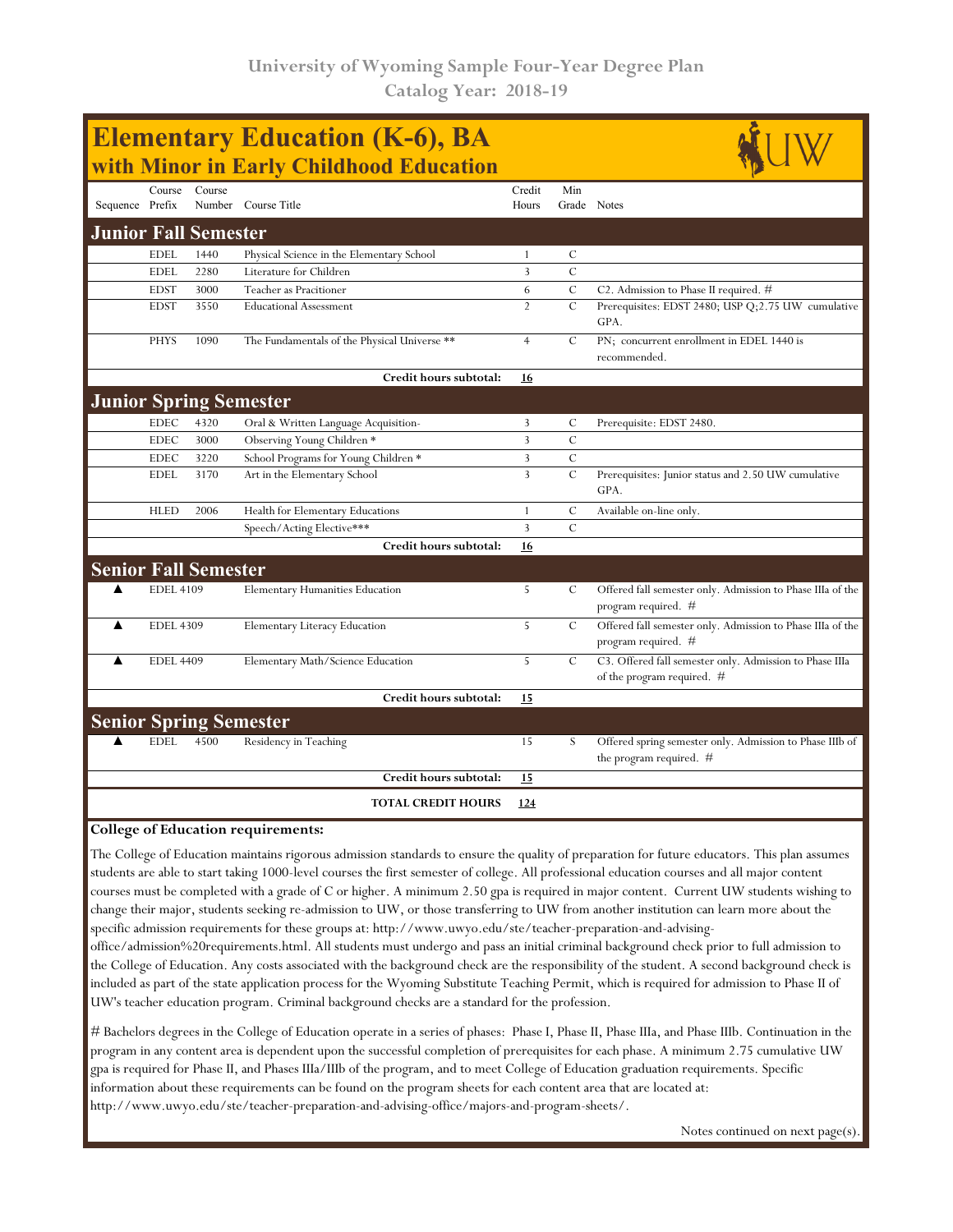| <b>Elementary Education (K-6), BA</b><br>with Minor in Early Childhood Education |                  |        |                                              |                 |                    |                                                                                         |  |  |  |  |
|----------------------------------------------------------------------------------|------------------|--------|----------------------------------------------|-----------------|--------------------|-----------------------------------------------------------------------------------------|--|--|--|--|
| Sequence Prefix                                                                  | Course           | Course | Number Course Title                          | Credit<br>Hours | Min<br>Grade Notes |                                                                                         |  |  |  |  |
| <b>Junior Fall Semester</b>                                                      |                  |        |                                              |                 |                    |                                                                                         |  |  |  |  |
|                                                                                  | <b>EDEL</b>      | 1440   | Physical Science in the Elementary School    | $\mathbf{1}$    | $\mathcal{C}$      |                                                                                         |  |  |  |  |
|                                                                                  | <b>EDEL</b>      | 2280   | Literature for Children                      | 3               | $\overline{C}$     |                                                                                         |  |  |  |  |
|                                                                                  | <b>EDST</b>      | 3000   | Teacher as Pracitioner                       | 6               | $\mathcal{C}$      | C2. Admission to Phase II required. #                                                   |  |  |  |  |
|                                                                                  | <b>EDST</b>      | 3550   | <b>Educational Assessment</b>                | $\overline{2}$  | $\mathcal{C}$      | Prerequisites: EDST 2480; USP Q;2.75 UW cumulative<br>GPA.                              |  |  |  |  |
|                                                                                  | <b>PHYS</b>      | 1090   | The Fundamentals of the Physical Universe ** | $\overline{4}$  | C                  | PN; concurrent enrollment in EDEL 1440 is<br>recommended.                               |  |  |  |  |
|                                                                                  |                  |        | Credit hours subtotal:                       | 16              |                    |                                                                                         |  |  |  |  |
| <b>Junior Spring Semester</b>                                                    |                  |        |                                              |                 |                    |                                                                                         |  |  |  |  |
|                                                                                  | <b>EDEC</b>      | 4320   | Oral & Written Language Acquisition-         | 3               | $\mathcal{C}$      | Prerequisite: EDST 2480.                                                                |  |  |  |  |
|                                                                                  | <b>EDEC</b>      | 3000   | Observing Young Children *                   | 3               | $\mathcal{C}$      |                                                                                         |  |  |  |  |
|                                                                                  | <b>EDEC</b>      | 3220   | School Programs for Young Children *         | 3               | $\mathcal{C}$      |                                                                                         |  |  |  |  |
|                                                                                  | <b>EDEL</b>      | 3170   | Art in the Elementary School                 | $\overline{3}$  | $\mathcal{C}$      | Prerequisites: Junior status and 2.50 UW cumulative<br>GPA.                             |  |  |  |  |
|                                                                                  | <b>HLED</b>      | 2006   | Health for Elementary Educations             | $\mathbf{1}$    | $\mathcal{C}$      | Available on-line only.                                                                 |  |  |  |  |
|                                                                                  |                  |        | Speech/Acting Elective***                    | 3               | $\mathcal{C}$      |                                                                                         |  |  |  |  |
|                                                                                  |                  |        | Credit hours subtotal:                       | 16              |                    |                                                                                         |  |  |  |  |
| <b>Senior Fall Semester</b>                                                      |                  |        |                                              |                 |                    |                                                                                         |  |  |  |  |
| ▲                                                                                | <b>EDEL 4109</b> |        | <b>Elementary Humanities Education</b>       | 5               | C                  | Offered fall semester only. Admission to Phase IIIa of the<br>program required. #       |  |  |  |  |
| ▲                                                                                | <b>EDEL 4309</b> |        | <b>Elementary Literacy Education</b>         | 5               | $\mathcal{C}$      | Offered fall semester only. Admission to Phase IIIa of the<br>program required. #       |  |  |  |  |
| ▲                                                                                | <b>EDEL 4409</b> |        | Elementary Math/Science Education            | 5               | $\mathcal{C}$      | C3. Offered fall semester only. Admission to Phase IIIa<br>of the program required. $#$ |  |  |  |  |
|                                                                                  |                  |        | Credit hours subtotal:                       | 15              |                    |                                                                                         |  |  |  |  |
| <b>Senior Spring Semester</b>                                                    |                  |        |                                              |                 |                    |                                                                                         |  |  |  |  |
|                                                                                  | <b>EDEL</b>      | 4500   | Residency in Teaching                        | 15              | S                  | Offered spring semester only. Admission to Phase IIIb of<br>the program required. #     |  |  |  |  |
|                                                                                  |                  |        | Credit hours subtotal:                       | 15              |                    |                                                                                         |  |  |  |  |
|                                                                                  |                  |        | <b>TOTAL CREDIT HOURS</b>                    | 124             |                    |                                                                                         |  |  |  |  |

## **College of Education requirements:**

The College of Education maintains rigorous admission standards to ensure the quality of preparation for future educators. This plan assumes students are able to start taking 1000-level courses the first semester of college. All professional education courses and all major content courses must be completed with a grade of C or higher. A minimum 2.50 gpa is required in major content. Current UW students wishing to change their major, students seeking re-admission to UW, or those transferring to UW from another institution can learn more about the specific admission requirements for these groups at: http://www.uwyo.edu/ste/teacher-preparation-and-advising-

office/admission%20requirements.html. All students must undergo and pass an initial criminal background check prior to full admission to the College of Education. Any costs associated with the background check are the responsibility of the student. A second background check is included as part of the state application process for the Wyoming Substitute Teaching Permit, which is required for admission to Phase II of UW's teacher education program. Criminal background checks are a standard for the profession.

# Bachelors degrees in the College of Education operate in a series of phases: Phase I, Phase II, Phase IIIa, and Phase IIIb. Continuation in the program in any content area is dependent upon the successful completion of prerequisites for each phase. A minimum 2.75 cumulative UW gpa is required for Phase II, and Phases IIIa/IIIb of the program, and to meet College of Education graduation requirements. Specific information about these requirements can be found on the program sheets for each content area that are located at: http://www.uwyo.edu/ste/teacher-preparation-and-advising-office/majors-and-program-sheets/.